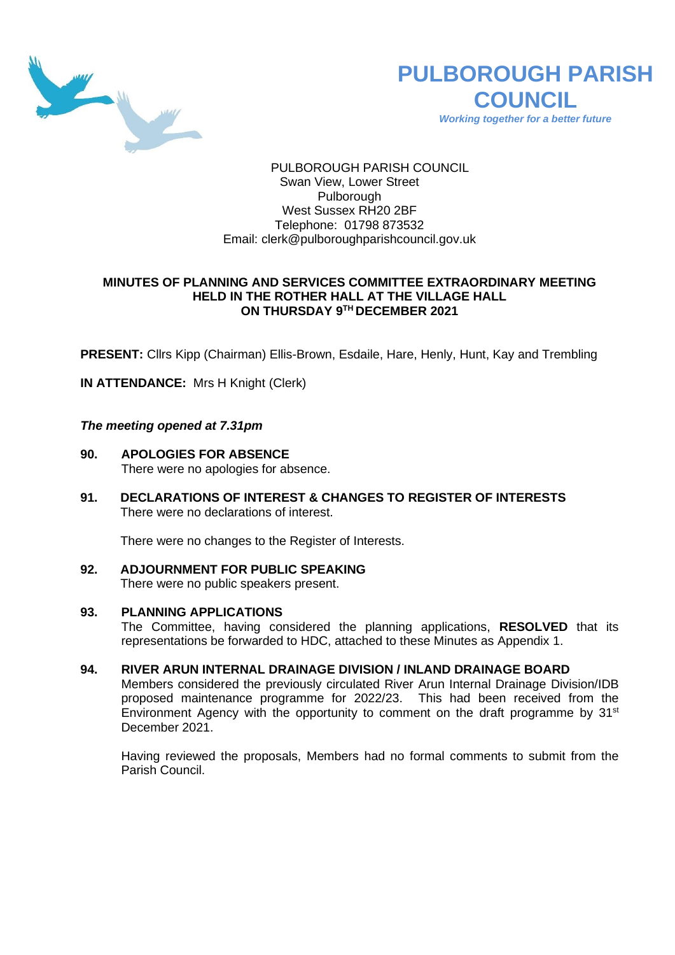



*Working together for a better future*

## PULBOROUGH PARISH COUNCIL Swan View, Lower Street **Pulborough** West Sussex RH20 2BF Telephone: 01798 873532 Email: [clerk@pulboroughparishcouncil.gov.uk](mailto:clerk@pulboroughparishcouncil.gov.uk)

### **MINUTES OF PLANNING AND SERVICES COMMITTEE EXTRAORDINARY MEETING HELD IN THE ROTHER HALL AT THE VILLAGE HALL ON THURSDAY 9 TH DECEMBER 2021**

**PRESENT:** Cllrs Kipp (Chairman) Ellis-Brown, Esdaile, Hare, Henly, Hunt, Kay and Trembling

**IN ATTENDANCE:** Mrs H Knight (Clerk)

### *The meeting opened at 7.31pm*

- **90. APOLOGIES FOR ABSENCE** There were no apologies for absence.
- **91. DECLARATIONS OF INTEREST & CHANGES TO REGISTER OF INTERESTS** There were no declarations of interest.

There were no changes to the Register of Interests.

**92. ADJOURNMENT FOR PUBLIC SPEAKING** There were no public speakers present.

### **93. PLANNING APPLICATIONS**

The Committee, having considered the planning applications, **RESOLVED** that its representations be forwarded to HDC, attached to these Minutes as Appendix 1.

### **94. RIVER ARUN INTERNAL DRAINAGE DIVISION / INLAND DRAINAGE BOARD**

Members considered the previously circulated River Arun Internal Drainage Division/IDB proposed maintenance programme for 2022/23. This had been received from the Environment Agency with the opportunity to comment on the draft programme by  $31<sup>st</sup>$ December 2021.

Having reviewed the proposals, Members had no formal comments to submit from the Parish Council.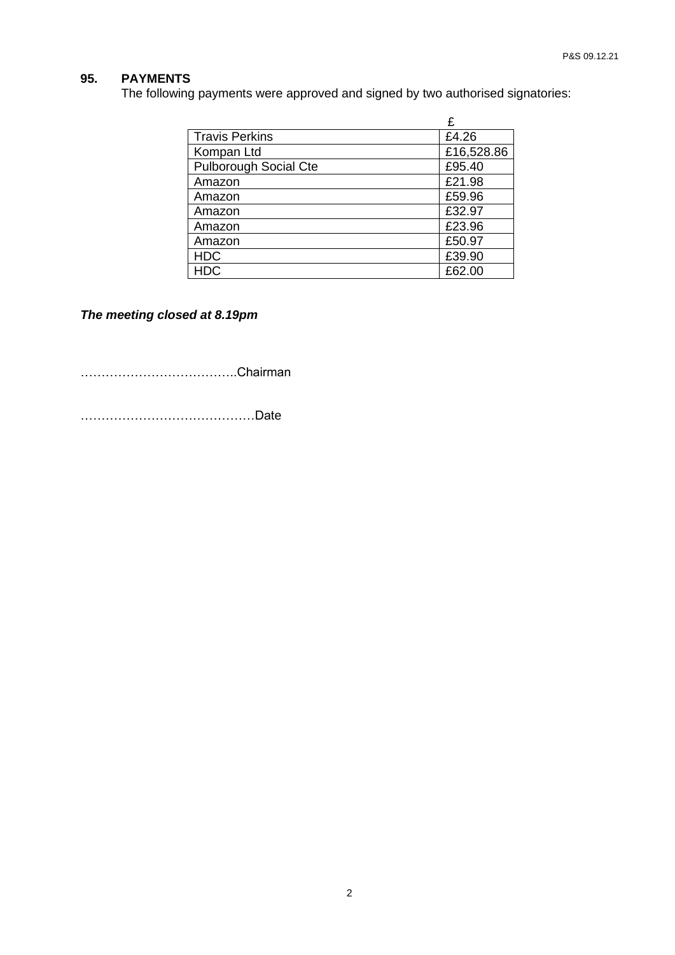# **95. PAYMENTS**

The following payments were approved and signed by two authorised signatories:

|                              | £          |
|------------------------------|------------|
| <b>Travis Perkins</b>        | £4.26      |
| Kompan Ltd                   | £16,528.86 |
| <b>Pulborough Social Cte</b> | £95.40     |
| Amazon                       | £21.98     |
| Amazon                       | £59.96     |
| Amazon                       | £32.97     |
| Amazon                       | £23.96     |
| Amazon                       | £50.97     |
| <b>HDC</b>                   | £39.90     |
| HDC                          | £62.00     |

*The meeting closed at 8.19pm*

………………………………..Chairman

……………………………………Date